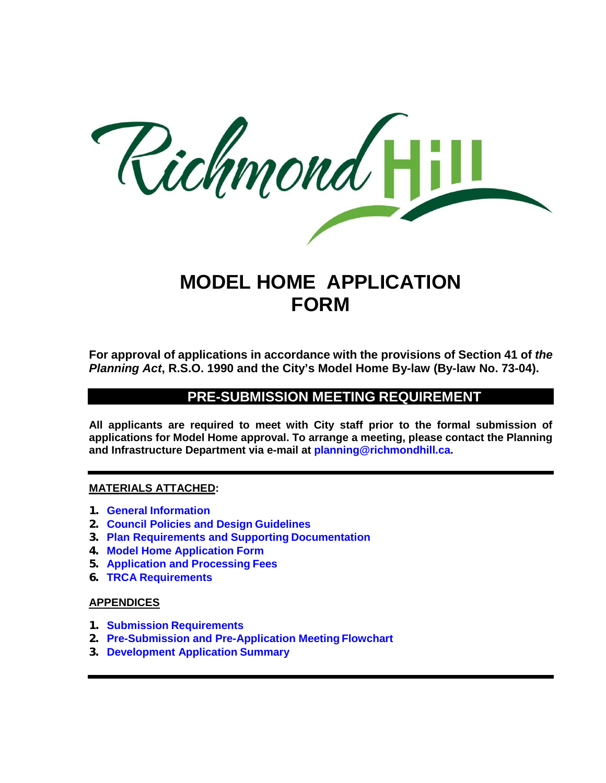

## **MODEL HOME APPLICATION FORM**

**For approval of applications in accordance with the provisions of Section 41 of** *the Planning Act***, R.S.O. 1990 and the City's Model Home By-law (By-law No. 73-04).**

### **PRE-SUBMISSION MEETING REQUIREMENT**

**All applicants are required to meet with City staff prior to the formal submission of applications for Model Home approval. To arrange a meeting, please contact the Planning and Infrastructure Department via e-mail at [planning@richmondhill.ca.](mailto:planning@richmondhill.ca)**

#### **MATERIALS ATTACHED:**

- **1. General Information**
- **2. Council Policies and Design Guidelines**
- **3. Plan Requirements and Supporting Documentation**
- **4. Model Home Application Form**
- **5. Application and Processing Fees**
- **6. TRCA Requirements**

#### **APPENDICES**

- **1. Submission Requirements**
- **2. Pre-Submission and Pre-Application Meeting Flowchart**
- **3. Development Application Summary**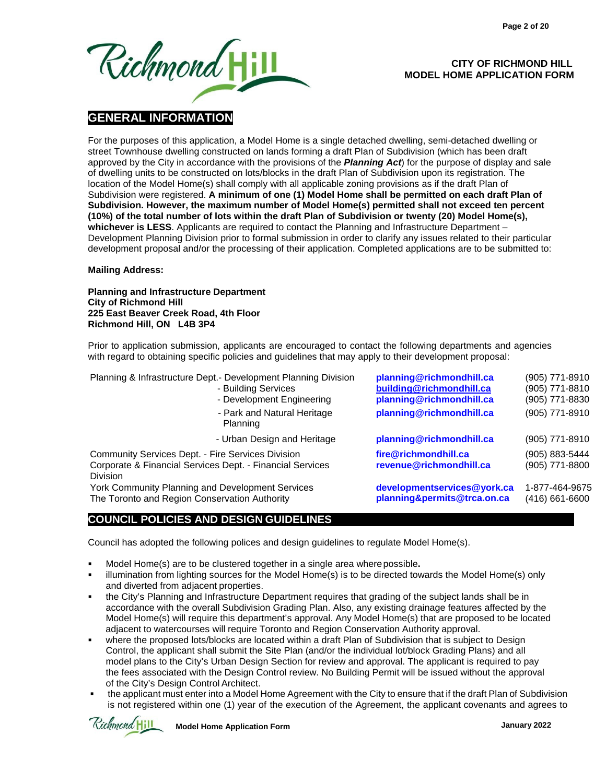

#### **CITY OF RICHMOND HILL MODEL HOME APPLICATION FORM**

#### **GENERAL INFORMATION**

For the purposes of this application, a Model Home is a single detached dwelling, semi-detached dwelling or street Townhouse dwelling constructed on lands forming a draft Plan of Subdivision (which has been draft approved by the City in accordance with the provisions of the *Planning Act*) for the purpose of display and sale of dwelling units to be constructed on lots/blocks in the draft Plan of Subdivision upon its registration. The location of the Model Home(s) shall comply with all applicable zoning provisions as if the draft Plan of Subdivision were registered. **A minimum of one (1) Model Home shall be permitted on each draft Plan of Subdivision. However, the maximum number of Model Home(s) permitted shall not exceed ten percent (10%) of the total number of lots within the draft Plan of Subdivision or twenty (20) Model Home(s), whichever is LESS**. Applicants are required to contact the Planning and Infrastructure Department – Development Planning Division prior to formal submission in order to clarify any issues related to their particular development proposal and/or the processing of their application. Completed applications are to be submitted to:

#### **Mailing Address:**

#### **Planning and Infrastructure Department City of Richmond Hill 225 East Beaver Creek Road, 4th Floor Richmond Hill, ON L4B 3P4**

Prior to application submission, applicants are encouraged to contact the following departments and agencies with regard to obtaining specific policies and guidelines that may apply to their development proposal:

| Planning & Infrastructure Dept.- Development Planning Division<br>- Building Services<br>- Development Engineering                | planning@richmondhill.ca<br>building@richmondhill.ca<br>planning@richmondhill.ca | (905) 771-8910<br>(905) 771-8810<br>(905) 771-8830 |
|-----------------------------------------------------------------------------------------------------------------------------------|----------------------------------------------------------------------------------|----------------------------------------------------|
| - Park and Natural Heritage<br>Planning                                                                                           | planning@richmondhill.ca                                                         | (905) 771-8910                                     |
| - Urban Design and Heritage                                                                                                       | planning@richmondhill.ca                                                         | (905) 771-8910                                     |
| Community Services Dept. - Fire Services Division<br>Corporate & Financial Services Dept. - Financial Services<br><b>Division</b> | fire@richmondhill.ca<br>revenue@richmondhill.ca                                  | (905) 883-5444<br>(905) 771-8800                   |
| York Community Planning and Development Services<br>The Toronto and Region Conservation Authority                                 | developmentservices@york.ca<br>planning&permits@trca.on.ca                       | 1-877-464-9675<br>(416) 661-6600                   |

#### **COUNCIL POLICIES AND DESIGN GUIDELINES**

Council has adopted the following polices and design guidelines to regulate Model Home(s).

- Model Home(s) are to be clustered together in a single area wherepossible**.**
- illumination from lighting sources for the Model Home(s) is to be directed towards the Model Home(s) only and diverted from adjacent properties.
- the City's Planning and Infrastructure Department requires that grading of the subject lands shall be in accordance with the overall Subdivision Grading Plan. Also, any existing drainage features affected by the Model Home(s) will require this department's approval. Any Model Home(s) that are proposed to be located adjacent to watercourses will require Toronto and Region Conservation Authority approval.
- where the proposed lots/blocks are located within a draft Plan of Subdivision that is subject to Design Control, the applicant shall submit the Site Plan (and/or the individual lot/block Grading Plans) and all model plans to the City's Urban Design Section for review and approval. The applicant is required to pay the fees associated with the Design Control review. No Building Permit will be issued without the approval of the City's Design Control Architect.
- the applicant must enter into a Model Home Agreement with the City to ensure that if the draft Plan of Subdivision is not registered within one (1) year of the execution of the Agreement, the applicant covenants and agrees to

Richmond Hill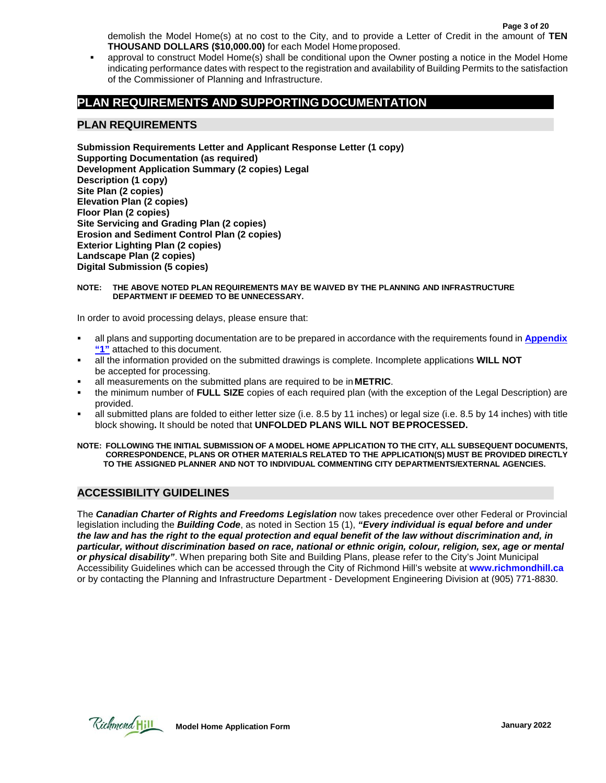demolish the Model Home(s) at no cost to the City, and to provide a Letter of Credit in the amount of **TEN THOUSAND DOLLARS (\$10,000.00)** for each Model Home proposed.

 approval to construct Model Home(s) shall be conditional upon the Owner posting a notice in the Model Home indicating performance dates with respect to the registration and availability of Building Permits to the satisfaction of the Commissioner of Planning and Infrastructure.

#### **PLAN REQUIREMENTS AND SUPPORTING DOCUMENTATION**

#### **PLAN REQUIREMENTS**

**Submission Requirements Letter and Applicant Response Letter (1 copy) Supporting Documentation (as required) Development Application Summary (2 copies) Legal Description (1 copy) Site Plan (2 copies) Elevation Plan (2 copies) Floor Plan (2 copies) Site Servicing and Grading Plan (2 copies) Erosion and Sediment Control Plan (2 copies) Exterior Lighting Plan (2 copies) Landscape Plan (2 copies) Digital Submission (5 copies)**

#### **NOTE: THE ABOVE NOTED PLAN REQUIREMENTS MAY BE WAIVED BY THE PLANNING AND INFRASTRUCTURE DEPARTMENT IF DEEMED TO BE UNNECESSARY.**

In order to avoid processing delays, please ensure that:

- all plans and supporting documentation are to be prepared in accordance with the requirements found in **Appendix "1"** attached to this document.
- all the information provided on the submitted drawings is complete. Incomplete applications **WILL NOT** be accepted for processing.
- all measurements on the submitted plans are required to be in **METRIC**.
- the minimum number of **FULL SIZE** copies of each required plan (with the exception of the Legal Description) are provided.
- all submitted plans are folded to either letter size (i.e. 8.5 by 11 inches) or legal size (i.e. 8.5 by 14 inches) with title block showing**.** It should be noted that **UNFOLDED PLANS WILL NOT BEPROCESSED.**
- **NOTE: FOLLOWING THE INITIAL SUBMISSION OF A MODEL HOME APPLICATION TO THE CITY, ALL SUBSEQUENT DOCUMENTS, CORRESPONDENCE, PLANS OR OTHER MATERIALS RELATED TO THE APPLICATION(S) MUST BE PROVIDED DIRECTLY TO THE ASSIGNED PLANNER AND NOT TO INDIVIDUAL COMMENTING CITY DEPARTMENTS/EXTERNAL AGENCIES.**

#### **ACCESSIBILITY GUIDELINES**

The *Canadian Charter of Rights and Freedoms Legislation* now takes precedence over other Federal or Provincial legislation including the *Building Code*, as noted in Section 15 (1), *"Every individual is equal before and under* the law and has the right to the equal protection and equal benefit of the law without discrimination and, in *particular, without discrimination based on race, national or ethnic origin, colour, religion, sex, age or mental or physical disability"*. When preparing both Site and Building Plans, please refer to the City's Joint Municipal Accessibility Guidelines which can be accessed through the City of Richmond Hill's website at **[www.richmondhill.ca](https://www.richmondhill.ca/en/index.aspx)** or by contacting the Planning and Infrastructure Department - Development Engineering Division at (905) 771-8830.

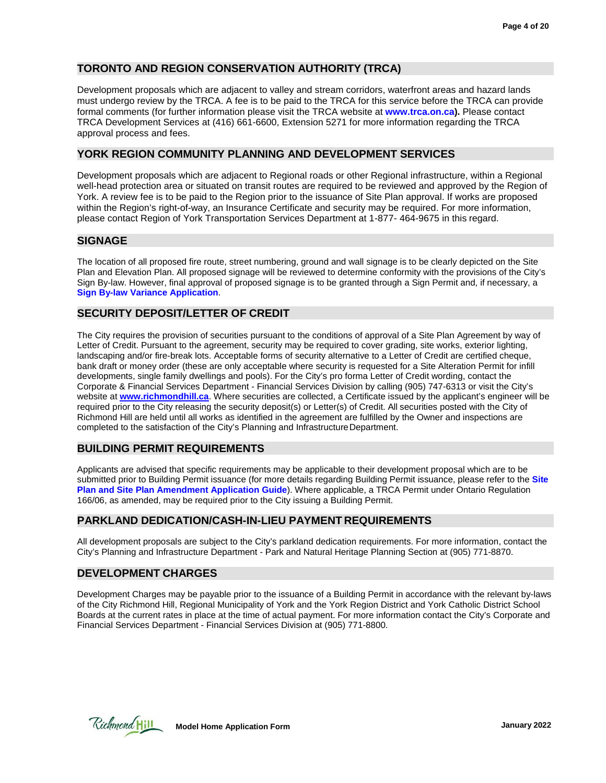#### **TORONTO AND REGION CONSERVATION AUTHORITY (TRCA)**

Development proposals which are adjacent to valley and stream corridors, waterfront areas and hazard lands must undergo review by the TRCA. A fee is to be paid to the TRCA for this service before the TRCA can provide formal comments (for further information please visit the TRCA website at **[www.trca.on.ca\)](https://trca.ca/?src=trca.on.ca).** Please contact TRCA Development Services at (416) 661-6600, Extension 5271 for more information regarding the TRCA approval process and fees.

#### **YORK REGION COMMUNITY PLANNING AND DEVELOPMENT SERVICES**

Development proposals which are adjacent to Regional roads or other Regional infrastructure, within a Regional well-head protection area or situated on transit routes are required to be reviewed and approved by the Region of York. A review fee is to be paid to the Region prior to the issuance of Site Plan approval. If works are proposed within the Region's right-of-way, an Insurance Certificate and security may be required. For more information, please contact Region of York Transportation Services Department at 1-877- 464-9675 in this regard.

#### **SIGNAGE**

The location of all proposed fire route, street numbering, ground and wall signage is to be clearly depicted on the Site Plan and Elevation Plan. All proposed signage will be reviewed to determine conformity with the provisions of the City's Sign By-law. However, final approval of proposed signage is to be granted through a Sign Permit and, if necessary, a **Sign By-law Variance Application**.

#### **SECURITY DEPOSIT/LETTER OF CREDIT**

The City requires the provision of securities pursuant to the conditions of approval of a Site Plan Agreement by way of Letter of Credit. Pursuant to the agreement, security may be required to cover grading, site works, exterior lighting, landscaping and/or fire-break lots. Acceptable forms of security alternative to a Letter of Credit are certified cheque, bank draft or money order (these are only acceptable where security is requested for a Site Alteration Permit for infill developments, single family dwellings and pools). For the City's pro forma Letter of Credit wording, contact the Corporate & Financial Services Department - Financial Services Division by calling (905) 747-6313 or visit the City's website at **[www.richmondhill.ca](https://www.richmondhill.ca/en/index.aspx)**. Where securities are collected, a Certificate issued by the applicant's engineer will be required prior to the City releasing the security deposit(s) or Letter(s) of Credit. All securities posted with the City of Richmond Hill are held until all works as identified in the agreement are fulfilled by the Owner and inspections are completed to the satisfaction of the City's Planning and InfrastructureDepartment.

#### **BUILDING PERMIT REQUIREMENTS**

Applicants are advised that specific requirements may be applicable to their development proposal which are to be submitted prior to Building Permit issuance (for more details regarding Building Permit issuance, please refer to the **Site Plan and Site Plan Amendment Application Guide**). Where applicable, a TRCA Permit under Ontario Regulation 166/06, as amended, may be required prior to the City issuing a Building Permit.

#### **PARKLAND DEDICATION/CASH-IN-LIEU PAYMENT REQUIREMENTS**

All development proposals are subject to the City's parkland dedication requirements. For more information, contact the City's Planning and Infrastructure Department - Park and Natural Heritage Planning Section at (905) 771-8870.

#### **DEVELOPMENT CHARGES**

Development Charges may be payable prior to the issuance of a Building Permit in accordance with the relevant by-laws of the City Richmond Hill, Regional Municipality of York and the York Region District and York Catholic District School Boards at the current rates in place at the time of actual payment. For more information contact the City's Corporate and Financial Services Department - Financial Services Division at (905) 771-8800.

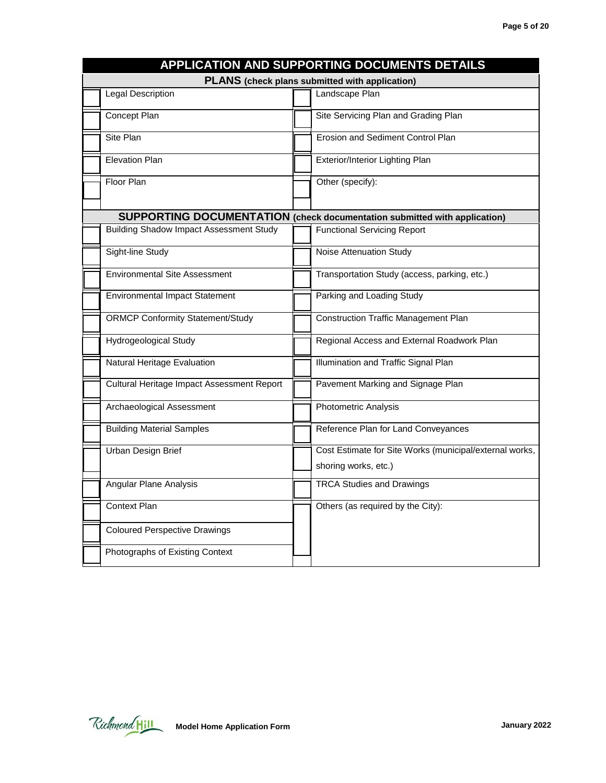|            |                                                       |  | APPLICATION AND SUPPORTING DOCUMENTS DETAILS                                     |  |  |  |
|------------|-------------------------------------------------------|--|----------------------------------------------------------------------------------|--|--|--|
|            | <b>PLANS</b> (check plans submitted with application) |  |                                                                                  |  |  |  |
|            | <b>Legal Description</b>                              |  | Landscape Plan                                                                   |  |  |  |
|            | Concept Plan                                          |  | Site Servicing Plan and Grading Plan                                             |  |  |  |
| Site Plan  |                                                       |  | Erosion and Sediment Control Plan                                                |  |  |  |
|            | <b>Elevation Plan</b>                                 |  | Exterior/Interior Lighting Plan                                                  |  |  |  |
| Floor Plan |                                                       |  | Other (specify):                                                                 |  |  |  |
|            |                                                       |  | <b>SUPPORTING DOCUMENTATION</b> (check documentation submitted with application) |  |  |  |
|            | <b>Building Shadow Impact Assessment Study</b>        |  | <b>Functional Servicing Report</b>                                               |  |  |  |
|            | Sight-line Study                                      |  | Noise Attenuation Study                                                          |  |  |  |
|            | <b>Environmental Site Assessment</b>                  |  | Transportation Study (access, parking, etc.)                                     |  |  |  |
|            | <b>Environmental Impact Statement</b>                 |  | Parking and Loading Study                                                        |  |  |  |
|            | <b>ORMCP Conformity Statement/Study</b>               |  | <b>Construction Traffic Management Plan</b>                                      |  |  |  |
|            | Hydrogeological Study                                 |  | Regional Access and External Roadwork Plan                                       |  |  |  |
|            | Natural Heritage Evaluation                           |  | Illumination and Traffic Signal Plan                                             |  |  |  |
|            | Cultural Heritage Impact Assessment Report            |  | Pavement Marking and Signage Plan                                                |  |  |  |
|            | Archaeological Assessment                             |  | Photometric Analysis                                                             |  |  |  |
|            | <b>Building Material Samples</b>                      |  | Reference Plan for Land Conveyances                                              |  |  |  |
|            | Urban Design Brief                                    |  | Cost Estimate for Site Works (municipal/external works,                          |  |  |  |
|            |                                                       |  | shoring works, etc.)                                                             |  |  |  |
|            | Angular Plane Analysis                                |  | <b>TRCA Studies and Drawings</b>                                                 |  |  |  |
|            | <b>Context Plan</b>                                   |  | Others (as required by the City):                                                |  |  |  |
|            | <b>Coloured Perspective Drawings</b>                  |  |                                                                                  |  |  |  |
|            | Photographs of Existing Context                       |  |                                                                                  |  |  |  |

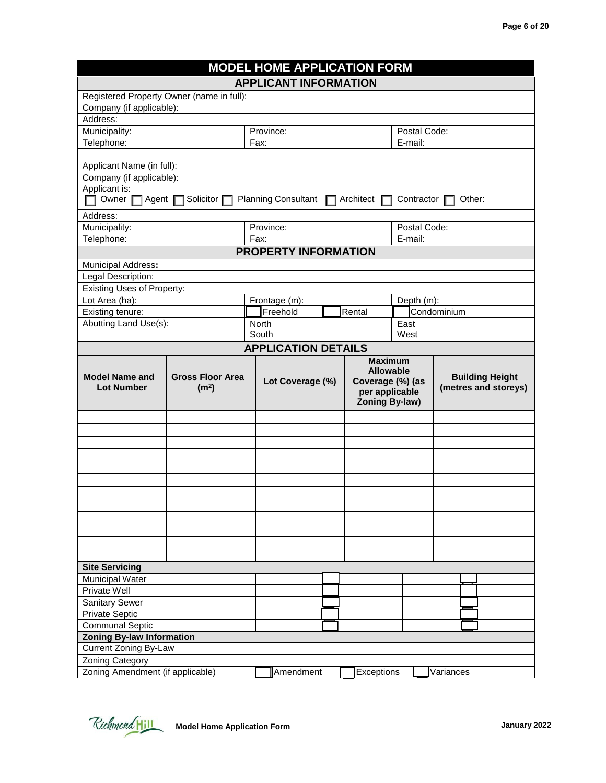| <b>MODEL HOME APPLICATION FORM</b>                         |                                            |               |                              |                                    |                         |                        |  |  |
|------------------------------------------------------------|--------------------------------------------|---------------|------------------------------|------------------------------------|-------------------------|------------------------|--|--|
|                                                            |                                            |               | <b>APPLICANT INFORMATION</b> |                                    |                         |                        |  |  |
| Registered Property Owner (name in full):                  |                                            |               |                              |                                    |                         |                        |  |  |
| Company (if applicable):                                   |                                            |               |                              |                                    |                         |                        |  |  |
| Address:                                                   |                                            |               |                              |                                    |                         |                        |  |  |
| Municipality:                                              | Province:                                  |               |                              | Postal Code:                       |                         |                        |  |  |
| Telephone:                                                 |                                            | Fax:          |                              |                                    | E-mail:                 |                        |  |  |
|                                                            |                                            |               |                              |                                    |                         |                        |  |  |
| Applicant Name (in full):                                  |                                            |               |                              |                                    |                         |                        |  |  |
| Company (if applicable):                                   |                                            |               |                              |                                    |                         |                        |  |  |
| Applicant is:                                              |                                            |               |                              |                                    |                         |                        |  |  |
|                                                            | Owner $\Box$ Agent $\Box$ Solicitor $\Box$ |               | <b>Planning Consultant</b>   | Architect                          | Contractor              | Other:                 |  |  |
| Address:                                                   |                                            |               |                              |                                    |                         |                        |  |  |
| Municipality:                                              |                                            | Province:     |                              |                                    |                         |                        |  |  |
| Telephone:                                                 |                                            | Fax:          |                              |                                    | Postal Code:<br>E-mail: |                        |  |  |
|                                                            |                                            |               | <b>PROPERTY INFORMATION</b>  |                                    |                         |                        |  |  |
|                                                            |                                            |               |                              |                                    |                         |                        |  |  |
| Municipal Address:                                         |                                            |               |                              |                                    |                         |                        |  |  |
| Legal Description:                                         |                                            |               |                              |                                    |                         |                        |  |  |
| <b>Existing Uses of Property:</b>                          |                                            |               |                              |                                    |                         |                        |  |  |
| Lot Area (ha):                                             |                                            | Frontage (m): |                              |                                    | Depth (m):              |                        |  |  |
| Existing tenure:                                           |                                            | Freehold      |                              | Rental                             |                         | Condominium            |  |  |
| Abutting Land Use(s):                                      |                                            | North         |                              |                                    | East                    |                        |  |  |
|                                                            |                                            | South         |                              |                                    | West                    |                        |  |  |
|                                                            |                                            |               | <b>APPLICATION DETAILS</b>   |                                    |                         |                        |  |  |
|                                                            |                                            |               |                              | <b>Maximum</b>                     |                         |                        |  |  |
| <b>Model Name and</b>                                      | <b>Gross Floor Area</b>                    |               | <b>Allowable</b>             |                                    |                         | <b>Building Height</b> |  |  |
| <b>Lot Number</b>                                          | (m <sup>2</sup> )                          |               | Lot Coverage (%)             | Coverage (%) (as<br>per applicable |                         | (metres and storeys)   |  |  |
|                                                            |                                            |               |                              | Zoning By-law)                     |                         |                        |  |  |
|                                                            |                                            |               |                              |                                    |                         |                        |  |  |
|                                                            |                                            |               |                              |                                    |                         |                        |  |  |
|                                                            |                                            |               |                              |                                    |                         |                        |  |  |
|                                                            |                                            |               |                              |                                    |                         |                        |  |  |
|                                                            |                                            |               |                              |                                    |                         |                        |  |  |
|                                                            |                                            |               |                              |                                    |                         |                        |  |  |
|                                                            |                                            |               |                              |                                    |                         |                        |  |  |
|                                                            |                                            |               |                              |                                    |                         |                        |  |  |
|                                                            |                                            |               |                              |                                    |                         |                        |  |  |
|                                                            |                                            |               |                              |                                    |                         |                        |  |  |
|                                                            |                                            |               |                              |                                    |                         |                        |  |  |
|                                                            |                                            |               |                              |                                    |                         |                        |  |  |
|                                                            |                                            |               |                              |                                    |                         |                        |  |  |
|                                                            |                                            |               |                              |                                    |                         |                        |  |  |
| <b>Site Servicing</b>                                      |                                            |               |                              |                                    |                         |                        |  |  |
| <b>Municipal Water</b>                                     |                                            |               |                              |                                    |                         |                        |  |  |
| Private Well                                               |                                            |               |                              |                                    |                         |                        |  |  |
| <b>Sanitary Sewer</b>                                      |                                            |               |                              |                                    |                         |                        |  |  |
| <b>Private Septic</b>                                      |                                            |               |                              |                                    |                         |                        |  |  |
| <b>Communal Septic</b>                                     |                                            |               |                              |                                    |                         |                        |  |  |
| <b>Zoning By-law Information</b>                           |                                            |               |                              |                                    |                         |                        |  |  |
| <b>Current Zoning By-Law</b>                               |                                            |               |                              |                                    |                         |                        |  |  |
|                                                            |                                            |               |                              |                                    |                         |                        |  |  |
| <b>Zoning Category</b><br>Zoning Amendment (if applicable) |                                            |               | Amendment                    | Exceptions                         |                         | Variances              |  |  |

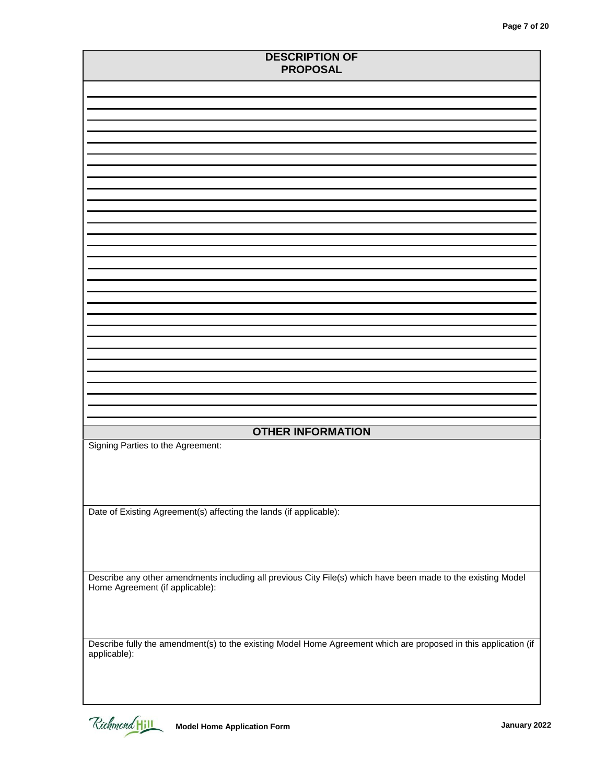| <b>DESCRIPTION OF</b><br><b>PROPOSAL</b>                                                                                                        |  |  |
|-------------------------------------------------------------------------------------------------------------------------------------------------|--|--|
|                                                                                                                                                 |  |  |
|                                                                                                                                                 |  |  |
|                                                                                                                                                 |  |  |
|                                                                                                                                                 |  |  |
|                                                                                                                                                 |  |  |
|                                                                                                                                                 |  |  |
|                                                                                                                                                 |  |  |
|                                                                                                                                                 |  |  |
|                                                                                                                                                 |  |  |
|                                                                                                                                                 |  |  |
|                                                                                                                                                 |  |  |
|                                                                                                                                                 |  |  |
|                                                                                                                                                 |  |  |
| <b>OTHER INFORMATION</b>                                                                                                                        |  |  |
| Signing Parties to the Agreement:                                                                                                               |  |  |
|                                                                                                                                                 |  |  |
| Date of Existing Agreement(s) affecting the lands (if applicable):                                                                              |  |  |
|                                                                                                                                                 |  |  |
|                                                                                                                                                 |  |  |
| Describe any other amendments including all previous City File(s) which have been made to the existing Model<br>Home Agreement (if applicable): |  |  |
|                                                                                                                                                 |  |  |
| Describe fully the amendment(s) to the existing Model Home Agreement which are proposed in this application (if<br>applicable):                 |  |  |
|                                                                                                                                                 |  |  |
| Richmond Hill<br><b>Model Home Application Form</b><br>January 2022                                                                             |  |  |

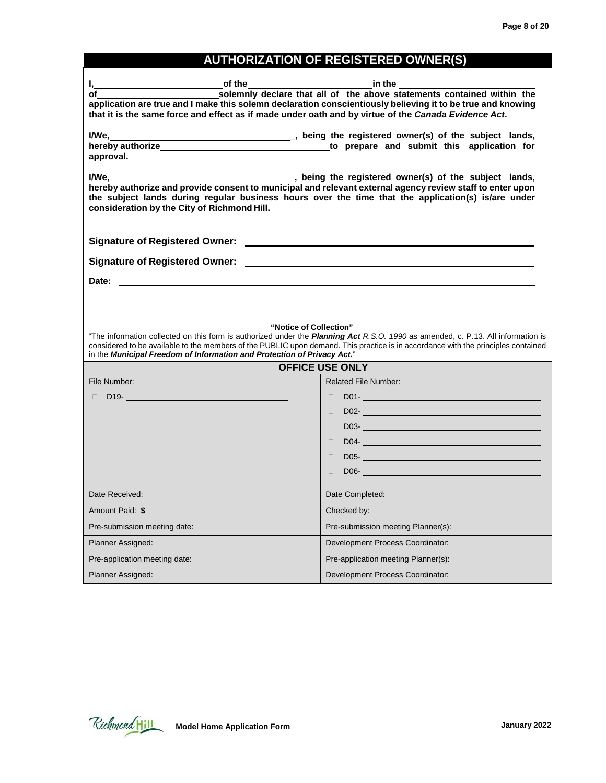### **AUTHORIZATION OF REGISTERED OWNER(S)**

| of the<br>I,_                                                                                                                                                                                                                                                                                                                                           | in the the state of the state of the state of the state of the state of the state of the state of the state of                                                                                                                               |
|---------------------------------------------------------------------------------------------------------------------------------------------------------------------------------------------------------------------------------------------------------------------------------------------------------------------------------------------------------|----------------------------------------------------------------------------------------------------------------------------------------------------------------------------------------------------------------------------------------------|
| application are true and I make this solemn declaration conscientiously believing it to be true and knowing<br>that it is the same force and effect as if made under oath and by virtue of the Canada Evidence Act.                                                                                                                                     | solemnly declare that all of the above statements contained within the                                                                                                                                                                       |
| I/We,_________<br>hereby authorize <b>the contract of the contract of the contract of the contract of the contract of the contract of the contract of the contract of the contract of the contract of the contract of the contract of the contract</b><br>approval.                                                                                     | being the registered owner(s) of the subject lands,                                                                                                                                                                                          |
| I/We.<br>hereby authorize and provide consent to municipal and relevant external agency review staff to enter upon<br>the subject lands during regular business hours over the time that the application(s) is/are under<br>consideration by the City of Richmond Hill.                                                                                 | being the registered owner(s) of the subject lands,                                                                                                                                                                                          |
|                                                                                                                                                                                                                                                                                                                                                         |                                                                                                                                                                                                                                              |
|                                                                                                                                                                                                                                                                                                                                                         |                                                                                                                                                                                                                                              |
|                                                                                                                                                                                                                                                                                                                                                         |                                                                                                                                                                                                                                              |
|                                                                                                                                                                                                                                                                                                                                                         |                                                                                                                                                                                                                                              |
|                                                                                                                                                                                                                                                                                                                                                         |                                                                                                                                                                                                                                              |
| "Notice of Collection"                                                                                                                                                                                                                                                                                                                                  |                                                                                                                                                                                                                                              |
| "The information collected on this form is authorized under the <i>Planning Act R.S.O. 1990</i> as amended, c. P.13. All information is<br>considered to be available to the members of the PUBLIC upon demand. This practice is in accordance with the principles contained<br>in the Municipal Freedom of Information and Protection of Privacy Act." |                                                                                                                                                                                                                                              |
|                                                                                                                                                                                                                                                                                                                                                         | <b>OFFICE USE ONLY</b>                                                                                                                                                                                                                       |
| File Number:                                                                                                                                                                                                                                                                                                                                            | <b>Related File Number:</b>                                                                                                                                                                                                                  |
| $\Box$ D19- $\Box$ D19- $\Box$ D19- $\Box$ D19- $\Box$                                                                                                                                                                                                                                                                                                  | П                                                                                                                                                                                                                                            |
|                                                                                                                                                                                                                                                                                                                                                         | DO2-Record and the contract of the contract of the contract of the contract of the contract of the contract of<br>$\Box$                                                                                                                     |
|                                                                                                                                                                                                                                                                                                                                                         | $\Box$                                                                                                                                                                                                                                       |
|                                                                                                                                                                                                                                                                                                                                                         | П                                                                                                                                                                                                                                            |
|                                                                                                                                                                                                                                                                                                                                                         | <b>DOS- Contract Contract Contract Contract Contract Contract Contract Contract Contract Contract Contract Contract Contract Contract Contract Contract Contract Contract Contract Contract Contract Contract Contract Contrac</b><br>$\Box$ |
|                                                                                                                                                                                                                                                                                                                                                         | $DO6-$<br>П.                                                                                                                                                                                                                                 |
| Date Received:                                                                                                                                                                                                                                                                                                                                          | Date Completed:                                                                                                                                                                                                                              |
| Amount Paid: \$                                                                                                                                                                                                                                                                                                                                         | Checked by:                                                                                                                                                                                                                                  |
| Pre-submission meeting date:                                                                                                                                                                                                                                                                                                                            | Pre-submission meeting Planner(s):                                                                                                                                                                                                           |
| <b>Planner Assigned:</b>                                                                                                                                                                                                                                                                                                                                | Development Process Coordinator:                                                                                                                                                                                                             |
| Pre-application meeting date:                                                                                                                                                                                                                                                                                                                           | Pre-application meeting Planner(s):                                                                                                                                                                                                          |

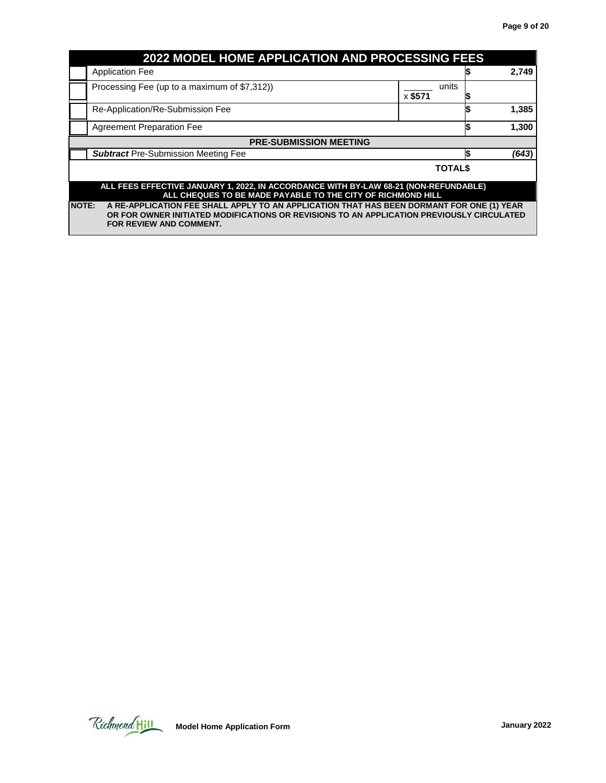| <b>2022 MODEL HOME APPLICATION AND PROCESSING FEES</b>                                                                                                                                                                            |                                                                                                                                                     |                  |    |       |
|-----------------------------------------------------------------------------------------------------------------------------------------------------------------------------------------------------------------------------------|-----------------------------------------------------------------------------------------------------------------------------------------------------|------------------|----|-------|
|                                                                                                                                                                                                                                   | <b>Application Fee</b>                                                                                                                              |                  |    | 2,749 |
|                                                                                                                                                                                                                                   | Processing Fee (up to a maximum of \$7,312))                                                                                                        | units<br>x \$571 |    |       |
|                                                                                                                                                                                                                                   | Re-Application/Re-Submission Fee                                                                                                                    |                  |    | 1,385 |
|                                                                                                                                                                                                                                   | <b>Agreement Preparation Fee</b>                                                                                                                    |                  |    | 1,300 |
|                                                                                                                                                                                                                                   | <b>PRE-SUBMISSION MEETING</b>                                                                                                                       |                  |    |       |
|                                                                                                                                                                                                                                   | <b>Subtract Pre-Submission Meeting Fee</b>                                                                                                          |                  | S. | (643) |
|                                                                                                                                                                                                                                   |                                                                                                                                                     | <b>TOTALS</b>    |    |       |
|                                                                                                                                                                                                                                   | ALL FEES EFFECTIVE JANUARY 1, 2022, IN ACCORDANCE WITH BY-LAW 68-21 (NON-REFUNDABLE)<br>ALL CHEQUES TO BE MADE PAYABLE TO THE CITY OF RICHMOND HILL |                  |    |       |
| <b>NOTE:</b><br>A RE-APPLICATION FEE SHALL APPLY TO AN APPLICATION THAT HAS BEEN DORMANT FOR ONE (1) YEAR<br>OR FOR OWNER INITIATED MODIFICATIONS OR REVISIONS TO AN APPLICATION PREVIOUSLY CIRCULATED<br>FOR REVIEW AND COMMENT. |                                                                                                                                                     |                  |    |       |

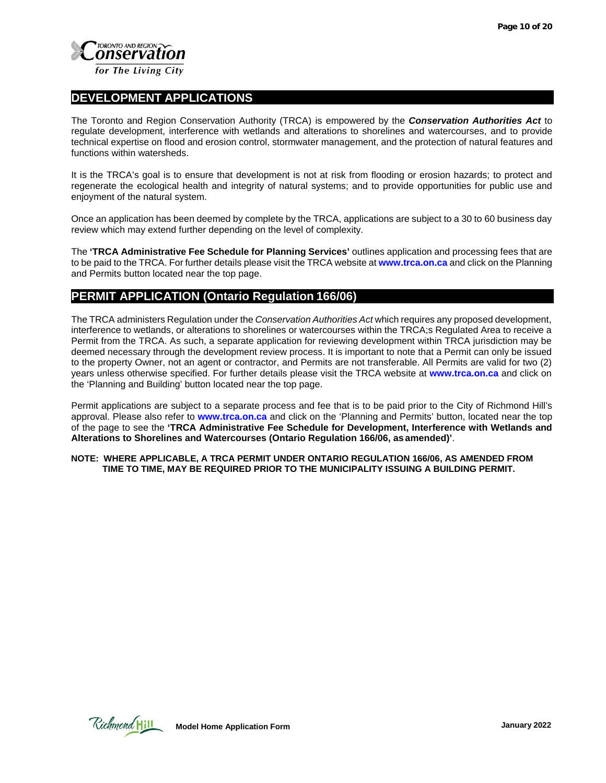

#### **DEVELOPMENT APPLICATIONS**

The Toronto and Region Conservation Authority (TRCA) is empowered by the *Conservation Authorities Act* to regulate development, interference with wetlands and alterations to shorelines and watercourses, and to provide technical expertise on flood and erosion control, stormwater management, and the protection of natural features and functions within watersheds.

It is the TRCA's goal is to ensure that development is not at risk from flooding or erosion hazards; to protect and regenerate the ecological health and integrity of natural systems; and to provide opportunities for public use and enjoyment of the natural system.

Once an application has been deemed by complete by the TRCA, applications are subject to a 30 to 60 business day review which may extend further depending on the level of complexity.

The **'TRCA Administrative Fee Schedule for Planning Services'** outlines application and processing fees that are to be paid to the TRCA. For further details please visit the TRCA website at **[www.trca.on.ca](https://trca.ca/?src=trca.on.ca)** and click on the Planning and Permits button located near the top page.

#### **PERMIT APPLICATION (Ontario Regulation 166/06)**

The TRCA administers Regulation under the *Conservation Authorities Act* which requires any proposed development, interference to wetlands, or alterations to shorelines or watercourses within the TRCA;s Regulated Area to receive a Permit from the TRCA. As such, a separate application for reviewing development within TRCA jurisdiction may be deemed necessary through the development review process. It is important to note that a Permit can only be issued to the property Owner, not an agent or contractor, and Permits are not transferable. All Permits are valid for two (2) years unless otherwise specified. For further details please visit the TRCA website at **www.trca.on.ca** and click on the 'Planning and Building' button located near the top page.

Permit applications are subject to a separate process and fee that is to be paid prior to the City of Richmond Hill's approval. Please also refer to **[www.trca.on.ca](https://trca.ca/?src=trca.on.ca)** and click on the 'Planning and Permits' button, located near the top of the page to see the **'TRCA Administrative Fee Schedule for Development, Interference with Wetlands and Alterations to Shorelines and Watercourses (Ontario Regulation 166/06, as amended)'**.

**NOTE: WHERE APPLICABLE, A TRCA PERMIT UNDER ONTARIO REGULATION 166/06, AS AMENDED FROM TIME TO TIME, MAY BE REQUIRED PRIOR TO THE MUNICIPALITY ISSUING A BUILDING PERMIT.**

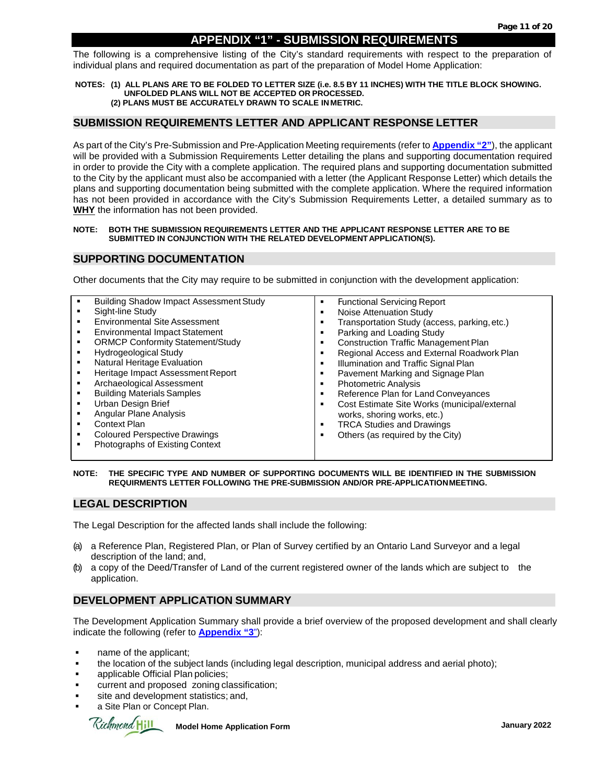#### **APPENDIX "1" - SUBMISSION REQUIREMENTS**

The following is a comprehensive listing of the City's standard requirements with respect to the preparation of individual plans and required documentation as part of the preparation of Model Home Application:

**NOTES: (1) ALL PLANS ARE TO BE FOLDED TO LETTER SIZE (i.e. 8.5 BY 11 INCHES) WITH THE TITLE BLOCK SHOWING. UNFOLDED PLANS WILL NOT BE ACCEPTED OR PROCESSED. (2) PLANS MUST BE ACCURATELY DRAWN TO SCALE IN METRIC.**

#### **SUBMISSION REQUIREMENTS LETTER AND APPLICANT RESPONSE LETTER**

As part of the City's Pre-Submission and Pre-Application Meeting requirements (refer to **Appendix "2"**), the applicant will be provided with a Submission Requirements Letter detailing the plans and supporting documentation required in order to provide the City with a complete application. The required plans and supporting documentation submitted to the City by the applicant must also be accompanied with a letter (the Applicant Response Letter) which details the plans and supporting documentation being submitted with the complete application. Where the required information has not been provided in accordance with the City's Submission Requirements Letter, a detailed summary as to **WHY** the information has not been provided.

#### **NOTE: BOTH THE SUBMISSION REQUIREMENTS LETTER AND THE APPLICANT RESPONSE LETTER ARE TO BE** SUBMITTED IN CONJUNCTION WITH THE RELATED DEVELOPMENT APPLICATION(S).

#### **SUPPORTING DOCUMENTATION**

Other documents that the City may require to be submitted in conjunction with the development application:

| <b>Building Shadow Impact Assessment Study</b><br>Sight-line Study<br><b>Environmental Site Assessment</b><br><b>Environmental Impact Statement</b><br><b>ORMCP Conformity Statement/Study</b><br>Hydrogeological Study<br>Natural Heritage Evaluation<br>Heritage Impact Assessment Report<br>Archaeological Assessment<br><b>Building Materials Samples</b><br>Urban Design Brief<br>Angular Plane Analysis<br>Context Plan<br><b>Coloured Perspective Drawings</b><br>Photographs of Existing Context | <b>Functional Servicing Report</b><br>Noise Attenuation Study<br>Transportation Study (access, parking, etc.)<br>Parking and Loading Study<br><b>Construction Traffic Management Plan</b><br>Regional Access and External Roadwork Plan<br>Illumination and Traffic Signal Plan<br>Pavement Marking and Signage Plan<br><b>Photometric Analysis</b><br>Reference Plan for Land Conveyances<br>Cost Estimate Site Works (municipal/external<br>works, shoring works, etc.)<br><b>TRCA Studies and Drawings</b><br>Others (as required by the City) |
|----------------------------------------------------------------------------------------------------------------------------------------------------------------------------------------------------------------------------------------------------------------------------------------------------------------------------------------------------------------------------------------------------------------------------------------------------------------------------------------------------------|---------------------------------------------------------------------------------------------------------------------------------------------------------------------------------------------------------------------------------------------------------------------------------------------------------------------------------------------------------------------------------------------------------------------------------------------------------------------------------------------------------------------------------------------------|
|----------------------------------------------------------------------------------------------------------------------------------------------------------------------------------------------------------------------------------------------------------------------------------------------------------------------------------------------------------------------------------------------------------------------------------------------------------------------------------------------------------|---------------------------------------------------------------------------------------------------------------------------------------------------------------------------------------------------------------------------------------------------------------------------------------------------------------------------------------------------------------------------------------------------------------------------------------------------------------------------------------------------------------------------------------------------|

#### **NOTE: THE SPECIFIC TYPE AND NUMBER OF SUPPORTING DOCUMENTS WILL BE IDENTIFIED IN THE SUBMISSION REQUIRMENTS LETTER FOLLOWING THE PRE-SUBMISSION AND/OR PRE-APPLICATIONMEETING.**

#### **LEGAL DESCRIPTION**

The Legal Description for the affected lands shall include the following:

- (a) a Reference Plan, Registered Plan, or Plan of Survey certified by an Ontario Land Surveyor and a legal description of the land; and,
- (b) a copy of the Deed/Transfer of Land of the current registered owner of the lands which are subject to the application.

#### **DEVELOPMENT APPLICATION SUMMARY**

The Development Application Summary shall provide a brief overview of the proposed development and shall clearly indicate the following (refer to **Appendix "3**"):

- name of the applicant;
- the location of the subject lands (including legal description, municipal address and aerial photo);
- applicable Official Plan policies;
- current and proposed zoning classification;
- site and development statistics; and,
- a Site Plan or Concept Plan.

Richmond Hill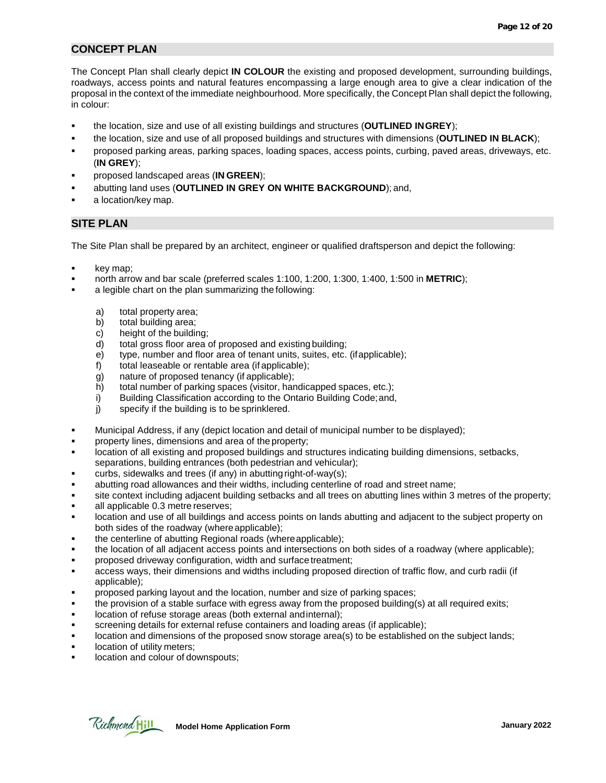#### **CONCEPT PLAN**

The Concept Plan shall clearly depict **IN COLOUR** the existing and proposed development, surrounding buildings, roadways, access points and natural features encompassing a large enough area to give a clear indication of the proposal in the context of the immediate neighbourhood. More specifically, the Concept Plan shall depict the following, in colour:

- the location, size and use of all existing buildings and structures (**OUTLINED INGREY**);
- the location, size and use of all proposed buildings and structures with dimensions (**OUTLINED IN BLACK**);
- proposed parking areas, parking spaces, loading spaces, access points, curbing, paved areas, driveways, etc. (**IN GREY**);
- proposed landscaped areas (**IN GREEN**);
- abutting land uses (**OUTLINED IN GREY ON WHITE BACKGROUND**); and,
- a location/key map.

#### **SITE PLAN**

The Site Plan shall be prepared by an architect, engineer or qualified draftsperson and depict the following:

- key map;
- north arrow and bar scale (preferred scales 1:100, 1:200, 1:300, 1:400, 1:500 in **METRIC**);
- a legible chart on the plan summarizing the following:
	- a) total property area;
	- b) total building area;
	- c) height of the building;
	- d) total gross floor area of proposed and existing building;
	- e) type, number and floor area of tenant units, suites, etc. (ifapplicable);
	- f) total leaseable or rentable area (if applicable);
	- g) nature of proposed tenancy (if applicable);
	- h) total number of parking spaces (visitor, handicapped spaces, etc.);
	- i) Building Classification according to the Ontario Building Code;and,
	- j) specify if the building is to be sprinklered.
- Municipal Address, if any (depict location and detail of municipal number to be displayed);
- property lines, dimensions and area of the property;
- location of all existing and proposed buildings and structures indicating building dimensions, setbacks, separations, building entrances (both pedestrian and vehicular);
- curbs, sidewalks and trees (if any) in abutting right-of-way(s);
- abutting road allowances and their widths, including centerline of road and street name;
- site context including adjacent building setbacks and all trees on abutting lines within 3 metres of the property;
- all applicable 0.3 metre reserves;
- location and use of all buildings and access points on lands abutting and adjacent to the subject property on both sides of the roadway (whereapplicable);
- the centerline of abutting Regional roads (whereapplicable);
- the location of all adjacent access points and intersections on both sides of a roadway (where applicable);
- proposed driveway configuration, width and surface treatment;
- access ways, their dimensions and widths including proposed direction of traffic flow, and curb radii (if applicable);
- proposed parking layout and the location, number and size of parking spaces;
- the provision of a stable surface with egress away from the proposed building(s) at all required exits;
- location of refuse storage areas (both external andinternal);
- screening details for external refuse containers and loading areas (if applicable);
- location and dimensions of the proposed snow storage area(s) to be established on the subject lands;
- location of utility meters;
- location and colour of downspouts;

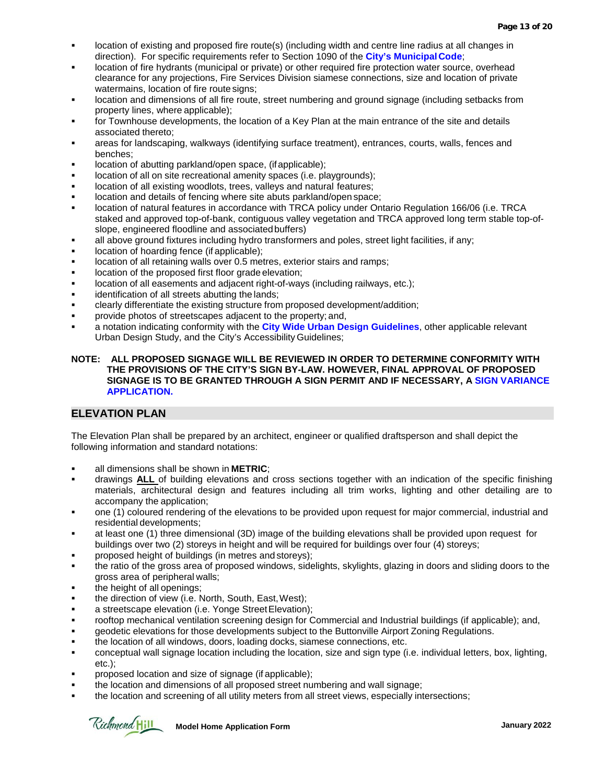- location of existing and proposed fire route(s) (including width and centre line radius at all changes in direction). For specific requirements refer to Section 1090 of the **City's MunicipalCode**;
- location of fire hydrants (municipal or private) or other required fire protection water source, overhead clearance for any projections, Fire Services Division siamese connections, size and location of private watermains, location of fire route signs;
- location and dimensions of all fire route, street numbering and ground signage (including setbacks from property lines, where applicable);
- for Townhouse developments, the location of a Key Plan at the main entrance of the site and details associated thereto;
- areas for landscaping, walkways (identifying surface treatment), entrances, courts, walls, fences and benches;
- location of abutting parkland/open space, (if applicable);
- location of all on site recreational amenity spaces (i.e. playgrounds);
- location of all existing woodlots, trees, valleys and natural features;
- location and details of fencing where site abuts parkland/open space;
- location of natural features in accordance with TRCA policy under Ontario Regulation 166/06 (i.e. TRCA staked and approved top-of-bank, contiguous valley vegetation and TRCA approved long term stable top-ofslope, engineered floodline and associatedbuffers)
- all above ground fixtures including hydro transformers and poles, street light facilities, if any;
- location of hoarding fence (if applicable);
- location of all retaining walls over 0.5 metres, exterior stairs and ramps;
- location of the proposed first floor grade elevation;
- location of all easements and adjacent right-of-ways (including railways, etc.);
- identification of all streets abutting the lands;
- clearly differentiate the existing structure from proposed development/addition;
- provide photos of streetscapes adjacent to the property; and,
- a notation indicating conformity with the **City [Wide Urban](https://www.richmondhill.ca/en/find-or-learn-about/urban-design.aspx) Design Guidelines**, other applicable relevant Urban Design Study, and the City's Accessibility Guidelines;

#### **NOTE: ALL PROPOSED SIGNAGE WILL BE REVIEWED IN ORDER TO DETERMINE CONFORMITY WITH THE PROVISIONS OF THE CITY'S SIGN BY-LAW. HOWEVER, FINAL APPROVAL OF PROPOSED SIGNAGE IS TO BE GRANTED THROUGH A SIGN PERMIT AND IF NECESSARY, A SIGN VARIANCE APPLICATION.**

#### **ELEVATION PLAN**

The Elevation Plan shall be prepared by an architect, engineer or qualified draftsperson and shall depict the following information and standard notations:

- all dimensions shall be shown in **METRIC**;
- drawings **ALL** of building elevations and cross sections together with an indication of the specific finishing materials, architectural design and features including all trim works, lighting and other detailing are to accompany the application;
- one (1) coloured rendering of the elevations to be provided upon request for major commercial, industrial and residential developments;
- at least one (1) three dimensional (3D) image of the building elevations shall be provided upon request for buildings over two (2) storeys in height and will be required for buildings over four (4) storeys;
- proposed height of buildings (in metres and storeys);
- the ratio of the gross area of proposed windows, sidelights, skylights, glazing in doors and sliding doors to the gross area of peripheral walls;
- the height of all openings;
- the direction of view (i.e. North, South, East,West);
- a streetscape elevation (i.e. Yonge Street Elevation);
- rooftop mechanical ventilation screening design for Commercial and Industrial buildings (if applicable); and,
- geodetic elevations for those developments subject to the Buttonville Airport Zoning Regulations.
- the location of all windows, doors, loading docks, siamese connections, etc.
- conceptual wall signage location including the location, size and sign type (i.e. individual letters, box, lighting, etc.);
- proposed location and size of signage (if applicable);
- the location and dimensions of all proposed street numbering and wall signage;
- the location and screening of all utility meters from all street views, especially intersections;

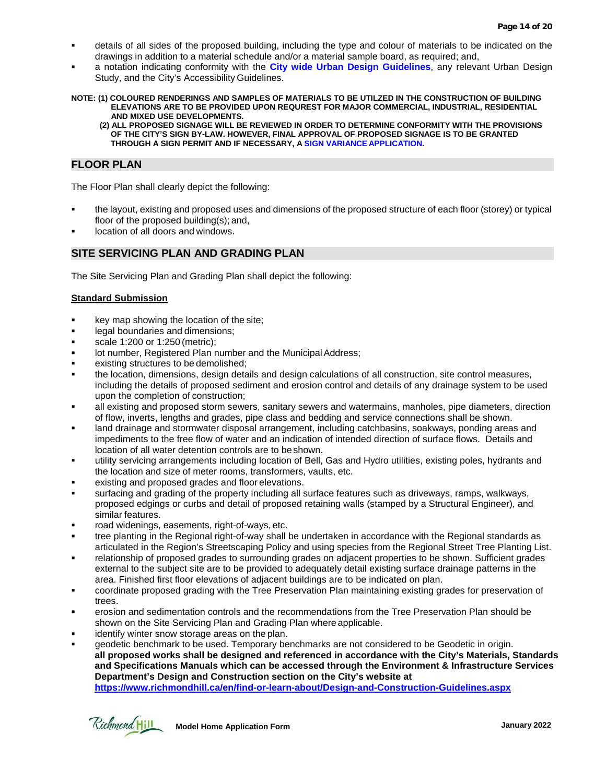- details of all sides of the proposed building, including the type and colour of materials to be indicated on the drawings in addition to a material schedule and/or a material sample board, as required; and,
- a notation indicating conformity with the **City [wide Urban Design Guidelines](https://www.richmondhill.ca/en/find-or-learn-about/urban-design.aspx)**, any relevant Urban Design Study, and the City's Accessibility Guidelines.

**NOTE: (1) COLOURED RENDERINGS AND SAMPLES OF MATERIALS TO BE UTILZED IN THE CONSTRUCTION OF BUILDING ELEVATIONS ARE TO BE PROVIDED UPON REQUREST FOR MAJOR COMMERCIAL, INDUSTRIAL, RESIDENTIAL AND MIXED USE DEVELOPMENTS.**

**(2) ALL PROPOSED SIGNAGE WILL BE REVIEWED IN ORDER TO DETERMINE CONFORMITY WITH THE PROVISIONS OF THE CITY'S SIGN BY-LAW. HOWEVER, FINAL APPROVAL OF PROPOSED SIGNAGE IS TO BE GRANTED THROUGH A SIGN PERMIT AND IF NECESSARY, A SIGN VARIANCE APPLICATION.**

#### **FLOOR PLAN**

The Floor Plan shall clearly depict the following:

- the layout, existing and proposed uses and dimensions of the proposed structure of each floor (storey) or typical floor of the proposed building(s); and,
- location of all doors and windows.

#### **SITE SERVICING PLAN AND GRADING PLAN**

The Site Servicing Plan and Grading Plan shall depict the following:

#### **Standard Submission**

- **key map showing the location of the site;**
- legal boundaries and dimensions;
- scale 1:200 or 1:250 (metric);
- lot number, Registered Plan number and the Municipal Address;
- existing structures to be demolished;
- the location, dimensions, design details and design calculations of all construction, site control measures, including the details of proposed sediment and erosion control and details of any drainage system to be used upon the completion of construction;
- all existing and proposed storm sewers, sanitary sewers and watermains, manholes, pipe diameters, direction of flow, inverts, lengths and grades, pipe class and bedding and service connections shall be shown.
- land drainage and stormwater disposal arrangement, including catchbasins, soakways, ponding areas and impediments to the free flow of water and an indication of intended direction of surface flows. Details and location of all water detention controls are to be shown.
- utility servicing arrangements including location of Bell, Gas and Hydro utilities, existing poles, hydrants and the location and size of meter rooms, transformers, vaults, etc.
- existing and proposed grades and floor elevations.
- surfacing and grading of the property including all surface features such as driveways, ramps, walkways, proposed edgings or curbs and detail of proposed retaining walls (stamped by a Structural Engineer), and similar features.
- road widenings, easements, right-of-ways, etc.
- tree planting in the Regional right-of-way shall be undertaken in accordance with the Regional standards as articulated in the Region's Streetscaping Policy and using species from the Regional Street Tree Planting List.
- relationship of proposed grades to surrounding grades on adjacent properties to be shown. Sufficient grades external to the subject site are to be provided to adequately detail existing surface drainage patterns in the area. Finished first floor elevations of adjacent buildings are to be indicated on plan.
- coordinate proposed grading with the Tree Preservation Plan maintaining existing grades for preservation of trees.
- erosion and sedimentation controls and the recommendations from the Tree Preservation Plan should be shown on the Site Servicing Plan and Grading Plan where applicable.
- identify winter snow storage areas on the plan.
- geodetic benchmark to be used. Temporary benchmarks are not considered to be Geodetic in origin. **all proposed works shall be designed and referenced in accordance with the City's Materials, Standards and Specifications Manuals which can be accessed through the Environment & Infrastructure Services Department's Design and Construction section on the City's website at <https://www.richmondhill.ca/en/find-or-learn-about/Design-and-Construction-Guidelines.aspx>**

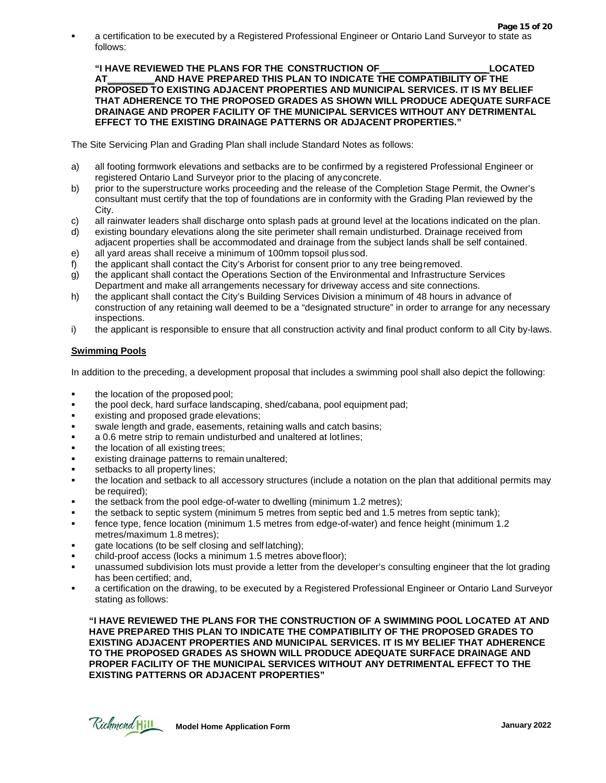**Page 15 of 20** a certification to be executed by a Registered Professional Engineer or Ontario Land Surveyor to state as follows:

**"I HAVE REVIEWED THE PLANS FOR THE CONSTRUCTION OF \_\_\_\_\_\_\_\_\_\_\_\_\_\_\_\_\_\_\_\_ LOCATED AT\_\_\_\_\_\_\_\_\_AND HAVE PREPARED THIS PLAN TO INDICATE THE COMPATIBILITY OF THE PROPOSED TO EXISTING ADJACENT PROPERTIES AND MUNICIPAL SERVICES. IT IS MY BELIEF THAT ADHERENCE TO THE PROPOSED GRADES AS SHOWN WILL PRODUCE ADEQUATE SURFACE DRAINAGE AND PROPER FACILITY OF THE MUNICIPAL SERVICES WITHOUT ANY DETRIMENTAL EFFECT TO THE EXISTING DRAINAGE PATTERNS OR ADJACENT PROPERTIES."**

The Site Servicing Plan and Grading Plan shall include Standard Notes as follows:

- a) all footing formwork elevations and setbacks are to be confirmed by a registered Professional Engineer or registered Ontario Land Surveyor prior to the placing of anyconcrete.
- b) prior to the superstructure works proceeding and the release of the Completion Stage Permit, the Owner's consultant must certify that the top of foundations are in conformity with the Grading Plan reviewed by the City.
- c) all rainwater leaders shall discharge onto splash pads at ground level at the locations indicated on the plan.
- d) existing boundary elevations along the site perimeter shall remain undisturbed. Drainage received from adjacent properties shall be accommodated and drainage from the subject lands shall be self contained.
- e) all yard areas shall receive a minimum of 100mm topsoil plussod.
- f) the applicant shall contact the City's Arborist for consent prior to any tree beingremoved.
- g) the applicant shall contact the Operations Section of the Environmental and Infrastructure Services Department and make all arrangements necessary for driveway access and site connections.
- h) the applicant shall contact the City's Building Services Division a minimum of 48 hours in advance of construction of any retaining wall deemed to be a "designated structure" in order to arrange for any necessary inspections.
- i) the applicant is responsible to ensure that all construction activity and final product conform to all City by-laws.

#### **Swimming Pools**

In addition to the preceding, a development proposal that includes a swimming pool shall also depict the following:

- the location of the proposed pool;
- the pool deck, hard surface landscaping, shed/cabana, pool equipment pad;
- existing and proposed grade elevations;
- swale length and grade, easements, retaining walls and catch basins;
- a 0.6 metre strip to remain undisturbed and unaltered at lotlines;
- the location of all existing trees;
- existing drainage patterns to remain unaltered;
- setbacks to all property lines;
- the location and setback to all accessory structures (include a notation on the plan that additional permits may be required);
- the setback from the pool edge-of-water to dwelling (minimum 1.2 metres);
- the setback to septic system (minimum 5 metres from septic bed and 1.5 metres from septic tank);
- fence type, fence location (minimum 1.5 metres from edge-of-water) and fence height (minimum 1.2 metres/maximum 1.8 metres);
- gate locations (to be self closing and self latching);
- child-proof access (locks a minimum 1.5 metres abovefloor);
- unassumed subdivision lots must provide a letter from the developer's consulting engineer that the lot grading has been certified; and,
- a certification on the drawing, to be executed by a Registered Professional Engineer or Ontario Land Surveyor stating as follows:

**"I HAVE REVIEWED THE PLANS FOR THE CONSTRUCTION OF A SWIMMING POOL LOCATED AT AND HAVE PREPARED THIS PLAN TO INDICATE THE COMPATIBILITY OF THE PROPOSED GRADES TO EXISTING ADJACENT PROPERTIES AND MUNICIPAL SERVICES. IT IS MY BELIEF THAT ADHERENCE TO THE PROPOSED GRADES AS SHOWN WILL PRODUCE ADEQUATE SURFACE DRAINAGE AND PROPER FACILITY OF THE MUNICIPAL SERVICES WITHOUT ANY DETRIMENTAL EFFECT TO THE EXISTING PATTERNS OR ADJACENT PROPERTIES"**

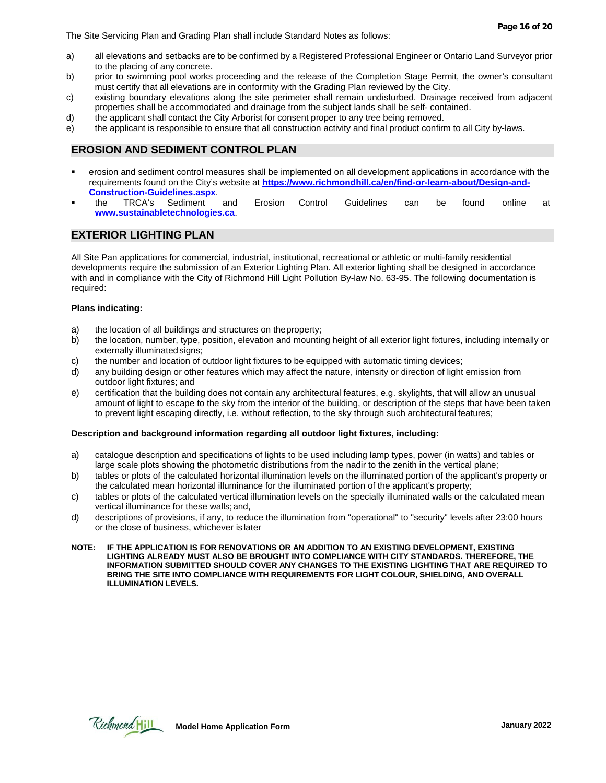The Site Servicing Plan and Grading Plan shall include Standard Notes as follows:

- a) all elevations and setbacks are to be confirmed by a Registered Professional Engineer or Ontario Land Surveyor prior to the placing of any concrete.
- b) prior to swimming pool works proceeding and the release of the Completion Stage Permit, the owner's consultant must certify that all elevations are in conformity with the Grading Plan reviewed by the City.
- c) existing boundary elevations along the site perimeter shall remain undisturbed. Drainage received from adjacent properties shall be accommodated and drainage from the subject lands shall be self- contained.
- d) the applicant shall contact the City Arborist for consent proper to any tree being removed.
- e) the applicant is responsible to ensure that all construction activity and final product confirm to all City by-laws.

#### **EROSION AND SEDIMENT CONTROL PLAN**

- erosion and sediment control measures shall be implemented on all development applications in accordance with the requirements found on the City's website at **https://www.richmondhill.ca/en/find-or-learn-about/Design-and-Construction-Guidelines.aspx**.
- the TRCA's Sediment and Erosion Control Guidelines can be found online at **[www.sustainabletechnologies.ca](https://sustainabletechnologies.ca/)**.

#### **EXTERIOR LIGHTING PLAN**

All Site Pan applications for commercial, industrial, institutional, recreational or athletic or multi-family residential developments require the submission of an Exterior Lighting Plan. All exterior lighting shall be designed in accordance with and in compliance with the City of Richmond Hill Light Pollution By-law No. 63-95. The following documentation is required:

#### **Plans indicating:**

- a) the location of all buildings and structures on theproperty;
- b) the location, number, type, position, elevation and mounting height of all exterior light fixtures, including internally or externally illuminated signs;
- c) the number and location of outdoor light fixtures to be equipped with automatic timing devices;
- d) any building design or other features which may affect the nature, intensity or direction of light emission from outdoor light fixtures; and
- e) certification that the building does not contain any architectural features, e.g. skylights, that will allow an unusual amount of light to escape to the sky from the interior of the building, or description of the steps that have been taken to prevent light escaping directly, i.e. without reflection, to the sky through such architectural features;

#### **Description and background information regarding all outdoor light fixtures, including:**

- a) catalogue description and specifications of lights to be used including lamp types, power (in watts) and tables or large scale plots showing the photometric distributions from the nadir to the zenith in the vertical plane;
- b) tables or plots of the calculated horizontal illumination levels on the illuminated portion of the applicant's property or the calculated mean horizontal illuminance for the illuminated portion of the applicant's property;
- c) tables or plots of the calculated vertical illumination levels on the specially illuminated walls or the calculated mean vertical illuminance for these walls; and,
- d) descriptions of provisions, if any, to reduce the illumination from "operational" to "security" levels after 23:00 hours or the close of business, whichever is later
- **NOTE: IF THE APPLICATION IS FOR RENOVATIONS OR AN ADDITION TO AN EXISTING DEVELOPMENT, EXISTING LIGHTING ALREADY MUST ALSO BE BROUGHT INTO COMPLIANCE WITH CITY STANDARDS. THEREFORE, THE INFORMATION SUBMITTED SHOULD COVER ANY CHANGES TO THE EXISTING LIGHTING THAT ARE REQUIRED TO BRING THE SITE INTO COMPLIANCE WITH REQUIREMENTS FOR LIGHT COLOUR, SHIELDING, AND OVERALL ILLUMINATION LEVELS.**

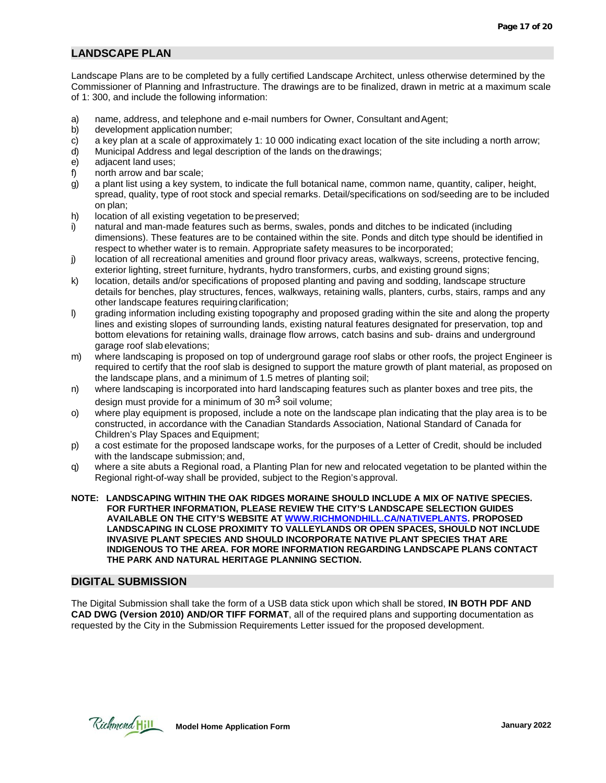#### **LANDSCAPE PLAN**

Landscape Plans are to be completed by a fully certified Landscape Architect, unless otherwise determined by the Commissioner of Planning and Infrastructure. The drawings are to be finalized, drawn in metric at a maximum scale of 1: 300, and include the following information:

- a) name, address, and telephone and e-mail numbers for Owner, Consultant and Agent;
- b) development application number;
- c) a key plan at a scale of approximately 1: 10 000 indicating exact location of the site including a north arrow;
- d) Municipal Address and legal description of the lands on thedrawings;
- e) adjacent land uses;
- f) north arrow and bar scale;
- g) a plant list using a key system, to indicate the full botanical name, common name, quantity, caliper, height, spread, quality, type of root stock and special remarks. Detail/specifications on sod/seeding are to be included on plan;
- h) location of all existing vegetation to be preserved;
- i) natural and man-made features such as berms, swales, ponds and ditches to be indicated (including dimensions). These features are to be contained within the site. Ponds and ditch type should be identified in respect to whether water is to remain. Appropriate safety measures to be incorporated;
- j) location of all recreational amenities and ground floor privacy areas, walkways, screens, protective fencing, exterior lighting, street furniture, hydrants, hydro transformers, curbs, and existing ground signs;
- k) location, details and/or specifications of proposed planting and paving and sodding, landscape structure details for benches, play structures, fences, walkways, retaining walls, planters, curbs, stairs, ramps and any other landscape features requiring clarification;
- l) grading information including existing topography and proposed grading within the site and along the property lines and existing slopes of surrounding lands, existing natural features designated for preservation, top and bottom elevations for retaining walls, drainage flow arrows, catch basins and sub- drains and underground garage roof slab elevations;
- m) where landscaping is proposed on top of underground garage roof slabs or other roofs, the project Engineer is required to certify that the roof slab is designed to support the mature growth of plant material, as proposed on the landscape plans, and a minimum of 1.5 metres of planting soil;
- n) where landscaping is incorporated into hard landscaping features such as planter boxes and tree pits, the design must provide for a minimum of 30  $\mathrm{m}^3$  soil volume;
- o) where play equipment is proposed, include a note on the landscape plan indicating that the play area is to be constructed, in accordance with the Canadian Standards Association, National Standard of Canada for Children's Play Spaces and Equipment;
- p) a cost estimate for the proposed landscape works, for the purposes of a Letter of Credit, should be included with the landscape submission; and,
- q) where a site abuts a Regional road, a Planting Plan for new and relocated vegetation to be planted within the Regional right-of-way shall be provided, subject to the Region's approval.
- **NOTE: LANDSCAPING WITHIN THE OAK RIDGES MORAINE SHOULD INCLUDE A MIX OF NATIVE SPECIES. FOR FURTHER INFORMATION, PLEASE REVIEW THE CITY'S LANDSCAPE SELECTION GUIDES AVAILABLE ON THE CITY'S WEBSITE AT [WWW.RICHMONDHILL.CA/NATIVEPLANTS.](https://www.richmondhill.ca/en/find-or-learn-about/Trees-and-Yards-Native-Species.aspx) PROPOSED LANDSCAPING IN CLOSE PROXIMITY TO VALLEYLANDS OR OPEN SPACES, SHOULD NOT INCLUDE INVASIVE PLANT SPECIES AND SHOULD INCORPORATE NATIVE PLANT SPECIES THAT ARE INDIGENOUS TO THE AREA. FOR MORE INFORMATION REGARDING LANDSCAPE PLANS CONTACT THE PARK AND NATURAL HERITAGE PLANNING SECTION.**

#### **DIGITAL SUBMISSION**

The Digital Submission shall take the form of a USB data stick upon which shall be stored, **IN BOTH PDF AND CAD DWG (Version 2010) AND/OR TIFF FORMAT**, all of the required plans and supporting documentation as requested by the City in the Submission Requirements Letter issued for the proposed development.

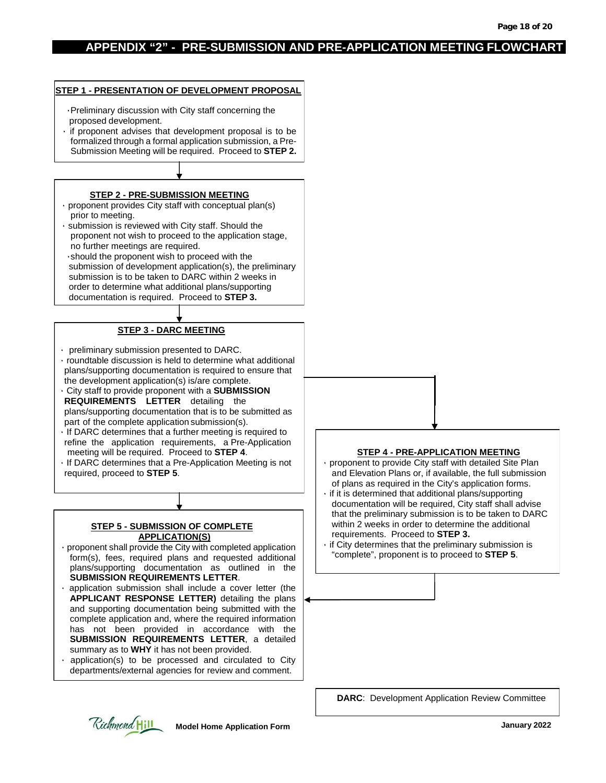#### **APPENDIX "2" - PRE-SUBMISSION AND PRE-APPLICATION MEETING FLOWCHART**

#### ۰Preliminary discussion with City staff concerning the proposed development. ۰ if proponent advises that development proposal is to be formalized through a formal application submission, a Pre-Submission Meeting will be required. Proceed to **STEP 2. STEP 2 - PRE-SUBMISSION MEETING** ۰ proponent provides City staff with conceptual plan(s) prior to meeting. ۰ submission is reviewed with City staff. Should the proponent not wish to proceed to the application stage, no further meetings are required. ۰should the proponent wish to proceed with the submission of development application(s), the preliminary submission is to be taken to DARC within 2 weeks in order to determine what additional plans/supporting documentation is required. Proceed to **STEP 3. STEP 3 - DARC MEETING** ۰ preliminary submission presented to DARC. ۰ roundtable discussion is held to determine what additional plans/supporting documentation is required to ensure that the development application(s) is/are complete. ۰ City staff to provide proponent with a **SUBMISSION REQUIREMENTS LETTER** detailing the plans/supporting documentation that is to be submitted as part of the complete application submission(s). ۰ If DARC determines that a further meeting is required to refine the application requirements, a Pre-Application meeting will be required. Proceed to **STEP 4**. ۰ If DARC determines that a Pre-Application Meeting is not required, proceed to **STEP 5**. **STEP 5 - SUBMISSION OF COMPLETE APPLICATION(S)** ۰ proponent shall provide the City with completed application form(s), fees, required plans and requested additional plans/supporting documentation as outlined in the **SUBMISSION REQUIREMENTS LETTER**. **STEP 4 - PRE-APPLICATION MEETING** proponent to provide City staff with detailed Site Plan and Elevation Plans or, if available, the full submission of plans as required in the City's application forms. if it is determined that additional plans/supporting documentation will be required, City staff shall advise that the preliminary submission is to be taken to DARC within 2 weeks in order to determine the additional requirements. Proceed to **STEP 3.** if City determines that the preliminary submission is "complete", proponent is to proceed to **STEP 5**.

**STEP 1 - PRESENTATION OF DEVELOPMENT PROPOSAL**

- application submission shall include a cover letter (the **APPLICANT RESPONSE LETTER)** detailing the plans and supporting documentation being submitted with the complete application and, where the required information has not been provided in accordance with the **SUBMISSION REQUIREMENTS LETTER**, a detailed summary as to **WHY** it has not been provided.
- application(s) to be processed and circulated to City departments/external agencies for review and comment.

#### **DARC**: Development Application Review Committee

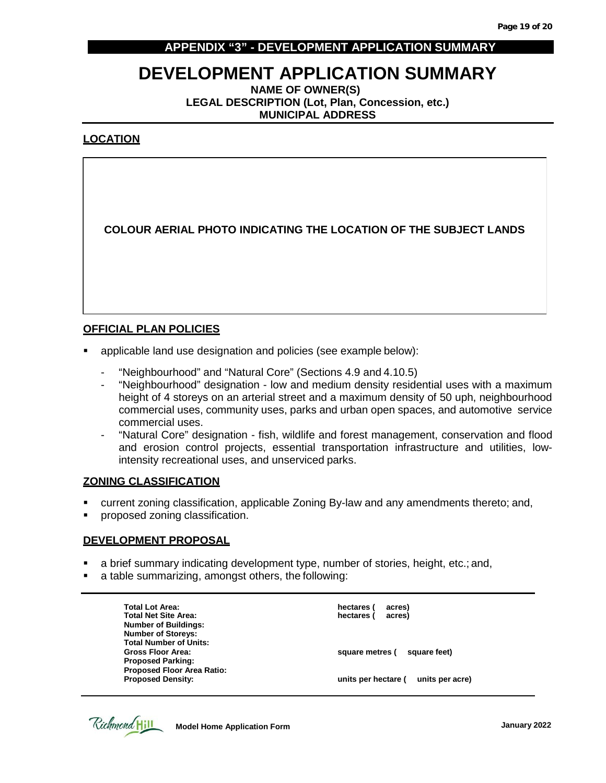#### **APPENDIX "3" - DEVELOPMENT APPLICATION SUMMARY**

# **DEVELOPMENT APPLICATION SUMMARY NAME OF OWNER(S)**

**LEGAL DESCRIPTION (Lot, Plan, Concession, etc.) MUNICIPAL ADDRESS**

#### **LOCATION**

**COLOUR AERIAL PHOTO INDICATING THE LOCATION OF THE SUBJECT LANDS**

#### **OFFICIAL PLAN POLICIES**

- applicable land use designation and policies (see example below):
	- "Neighbourhood" and "Natural Core" (Sections 4.9 and 4.10.5)
	- "Neighbourhood" designation low and medium density residential uses with a maximum height of 4 storeys on an arterial street and a maximum density of 50 uph, neighbourhood commercial uses, community uses, parks and urban open spaces, and automotive service commercial uses.
	- "Natural Core" designation fish, wildlife and forest management, conservation and flood and erosion control projects, essential transportation infrastructure and utilities, lowintensity recreational uses, and unserviced parks.

#### **ZONING CLASSIFICATION**

- current zoning classification, applicable Zoning By-law and any amendments thereto; and,
- **•** proposed zoning classification.

#### **DEVELOPMENT PROPOSAL**

- a brief summary indicating development type, number of stories, height, etc.; and,
- a table summarizing, amongst others, the following:

| acres)<br>hectares (                   |
|----------------------------------------|
| acres)<br>hectares (                   |
|                                        |
|                                        |
|                                        |
| square feet)<br>square metres (        |
|                                        |
|                                        |
| units per hectare (<br>units per acre) |
|                                        |